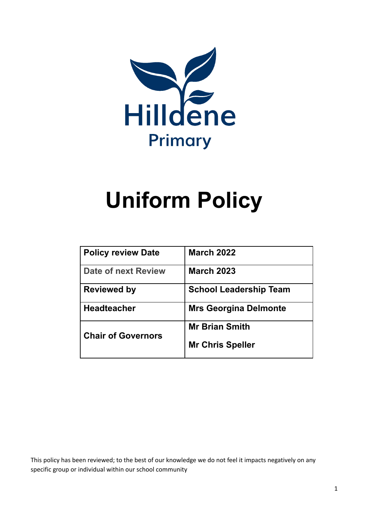

# **Uniform Policy**

| <b>Policy review Date</b>  | <b>March 2022</b>             |
|----------------------------|-------------------------------|
| <b>Date of next Review</b> | <b>March 2023</b>             |
| <b>Reviewed by</b>         | <b>School Leadership Team</b> |
| <b>Headteacher</b>         | <b>Mrs Georgina Delmonte</b>  |
| <b>Chair of Governors</b>  | <b>Mr Brian Smith</b>         |
|                            | <b>Mr Chris Speller</b>       |

This policy has been reviewed; to the best of our knowledge we do not feel it impacts negatively on any specific group or individual within our school community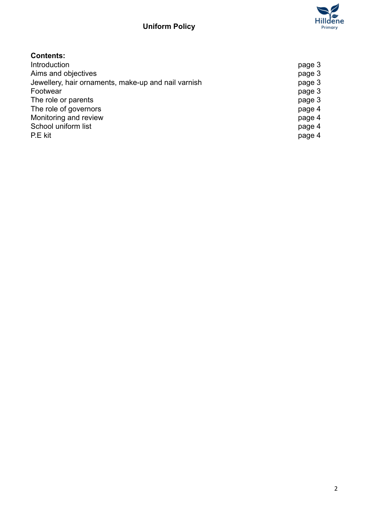

## **Contents:**

| Introduction                                        | page 3 |
|-----------------------------------------------------|--------|
| Aims and objectives                                 | page 3 |
| Jewellery, hair ornaments, make-up and nail varnish | page 3 |
| Footwear                                            | page 3 |
| The role or parents                                 | page 3 |
| The role of governors                               | page 4 |
| Monitoring and review                               | page 4 |
| School uniform list                                 | page 4 |
| P.E kit                                             | page 4 |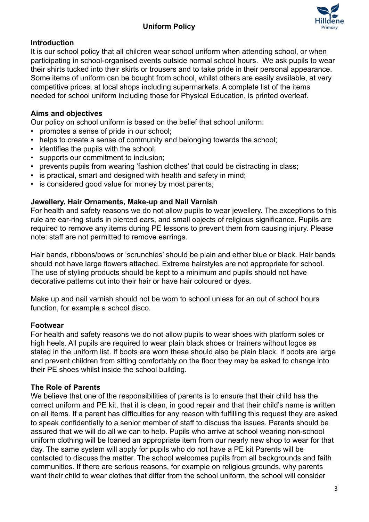

#### **Introduction**

It is our school policy that all children wear school uniform when attending school, or when participating in school-organised events outside normal school hours. We ask pupils to wear their shirts tucked into their skirts or trousers and to take pride in their personal appearance. Some items of uniform can be bought from school, whilst others are easily available, at very competitive prices, at local shops including supermarkets. A complete list of the items needed for school uniform including those for Physical Education, is printed overleaf.

#### **Aims and objectives**

Our policy on school uniform is based on the belief that school uniform:

- promotes a sense of pride in our school;
- helps to create a sense of community and belonging towards the school;
- identifies the pupils with the school;
- supports our commitment to inclusion;
- prevents pupils from wearing 'fashion clothes' that could be distracting in class;
- is practical, smart and designed with health and safety in mind;
- is considered good value for money by most parents;

#### **Jewellery, Hair Ornaments, Make-up and Nail Varnish**

For health and safety reasons we do not allow pupils to wear jewellery. The exceptions to this rule are ear-ring studs in pierced ears, and small objects of religious significance. Pupils are required to remove any items during PE lessons to prevent them from causing injury. Please note: staff are not permitted to remove earrings.

Hair bands, ribbons/bows or 'scrunchies' should be plain and either blue or black. Hair bands should not have large flowers attached. Extreme hairstyles are not appropriate for school. The use of styling products should be kept to a minimum and pupils should not have decorative patterns cut into their hair or have hair coloured or dyes.

Make up and nail varnish should not be worn to school unless for an out of school hours function, for example a school disco.

#### **Footwear**

For health and safety reasons we do not allow pupils to wear shoes with platform soles or high heels. All pupils are required to wear plain black shoes or trainers without logos as stated in the uniform list. If boots are worn these should also be plain black. If boots are large and prevent children from sitting comfortably on the floor they may be asked to change into their PE shoes whilst inside the school building.

#### **The Role of Parents**

We believe that one of the responsibilities of parents is to ensure that their child has the correct uniform and PE kit, that it is clean, in good repair and that their child's name is written on all items. If a parent has difficulties for any reason with fulfilling this request they are asked to speak confidentially to a senior member of staff to discuss the issues. Parents should be assured that we will do all we can to help. Pupils who arrive at school wearing non-school uniform clothing will be loaned an appropriate item from our nearly new shop to wear for that day. The same system will apply for pupils who do not have a PE kit Parents will be contacted to discuss the matter. The school welcomes pupils from all backgrounds and faith communities. If there are serious reasons, for example on religious grounds, why parents want their child to wear clothes that differ from the school uniform, the school will consider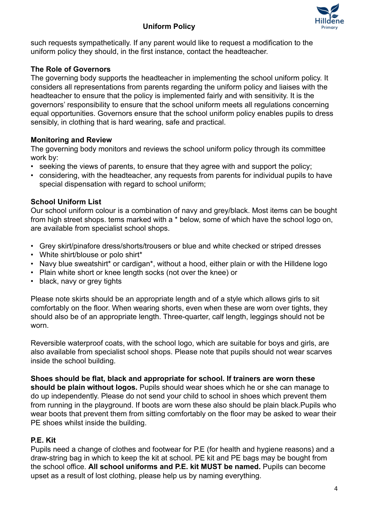# **Uniform Policy**



such requests sympathetically. If any parent would like to request a modification to the uniform policy they should, in the first instance, contact the headteacher.

## **The Role of Governors**

The governing body supports the headteacher in implementing the school uniform policy. It considers all representations from parents regarding the uniform policy and liaises with the headteacher to ensure that the policy is implemented fairly and with sensitivity. It is the governors' responsibility to ensure that the school uniform meets all regulations concerning equal opportunities. Governors ensure that the school uniform policy enables pupils to dress sensibly, in clothing that is hard wearing, safe and practical.

## **Monitoring and Review**

The governing body monitors and reviews the school uniform policy through its committee work by:

- seeking the views of parents, to ensure that they agree with and support the policy;
- considering, with the headteacher, any requests from parents for individual pupils to have special dispensation with regard to school uniform;

## **School Uniform List**

Our school uniform colour is a combination of navy and grey/black. Most items can be bought from high street shops. tems marked with a \* below, some of which have the school logo on, are available from specialist school shops.

- Grey skirt/pinafore dress/shorts/trousers or blue and white checked or striped dresses
- White shirt/blouse or polo shirt\*
- Navy blue sweatshirt\* or cardigan\*, without a hood, either plain or with the Hilldene logo
- Plain white short or knee length socks (not over the knee) or
- black, navy or grey tights

Please note skirts should be an appropriate length and of a style which allows girls to sit comfortably on the floor. When wearing shorts, even when these are worn over tights, they should also be of an appropriate length. Three-quarter, calf length, leggings should not be worn.

Reversible waterproof coats, with the school logo, which are suitable for boys and girls, are also available from specialist school shops. Please note that pupils should not wear scarves inside the school building.

**Shoes should be flat, black and appropriate for school. If trainers are worn these should be plain without logos.** Pupils should wear shoes which he or she can manage to do up independently. Please do not send your child to school in shoes which prevent them from running in the playground. If boots are worn these also should be plain black.Pupils who wear boots that prevent them from sitting comfortably on the floor may be asked to wear their PE shoes whilst inside the building.

## **P.E. Kit**

Pupils need a change of clothes and footwear for P.E (for health and hygiene reasons) and a draw-string bag in which to keep the kit at school. PE kit and PE bags may be bought from the school office. **All school uniforms and P.E. kit MUST be named.** Pupils can become upset as a result of lost clothing, please help us by naming everything.